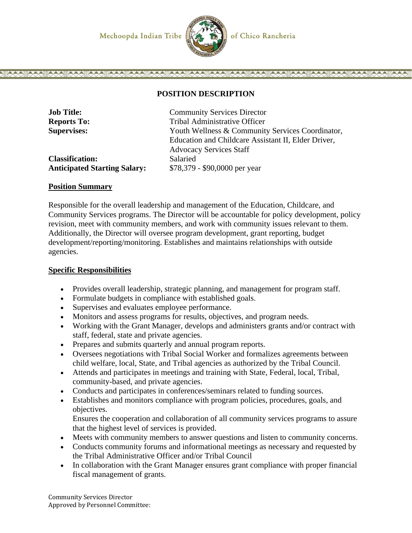

# **POSITION DESCRIPTION**

| <b>Job Title:</b>                   | <b>Community Services Director</b>                  |
|-------------------------------------|-----------------------------------------------------|
| <b>Reports To:</b>                  | Tribal Administrative Officer                       |
| <b>Supervises:</b>                  | Youth Wellness & Community Services Coordinator,    |
|                                     | Education and Childcare Assistant II, Elder Driver, |
|                                     | <b>Advocacy Services Staff</b>                      |
| <b>Classification:</b>              | Salaried                                            |
| <b>Anticipated Starting Salary:</b> | \$78,379 - \$90,0000 per year                       |

#### **Position Summary**

Responsible for the overall leadership and management of the Education, Childcare, and Community Services programs. The Director will be accountable for policy development, policy revision, meet with community members, and work with community issues relevant to them. Additionally, the Director will oversee program development, grant reporting, budget development/reporting/monitoring. Establishes and maintains relationships with outside agencies.

### **Specific Responsibilities**

- Provides overall leadership, strategic planning, and management for program staff.
- Formulate budgets in compliance with established goals.
- Supervises and evaluates employee performance.
- Monitors and assess programs for results, objectives, and program needs.
- Working with the Grant Manager, develops and administers grants and/or contract with staff, federal, state and private agencies.
- Prepares and submits quarterly and annual program reports.
- Oversees negotiations with Tribal Social Worker and formalizes agreements between child welfare, local, State, and Tribal agencies as authorized by the Tribal Council.
- Attends and participates in meetings and training with State, Federal, local, Tribal, community-based, and private agencies.
- Conducts and participates in conferences/seminars related to funding sources.
- Establishes and monitors compliance with program policies, procedures, goals, and objectives.

Ensures the cooperation and collaboration of all community services programs to assure that the highest level of services is provided.

- Meets with community members to answer questions and listen to community concerns.
- Conducts community forums and informational meetings as necessary and requested by the Tribal Administrative Officer and/or Tribal Council
- In collaboration with the Grant Manager ensures grant compliance with proper financial fiscal management of grants.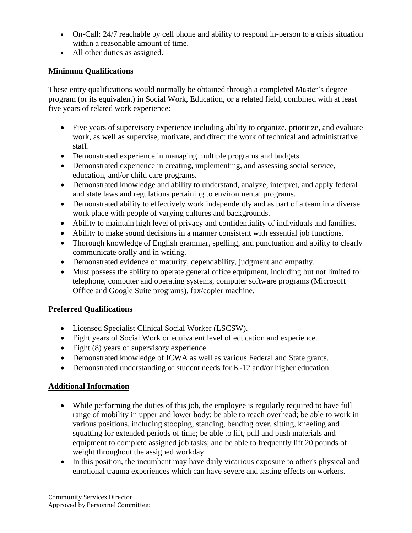- On-Call: 24/7 reachable by cell phone and ability to respond in-person to a crisis situation within a reasonable amount of time.
- All other duties as assigned.

# **Minimum Qualifications**

These entry qualifications would normally be obtained through a completed Master's degree program (or its equivalent) in Social Work, Education, or a related field, combined with at least five years of related work experience:

- Five years of supervisory experience including ability to organize, prioritize, and evaluate work, as well as supervise, motivate, and direct the work of technical and administrative staff.
- Demonstrated experience in managing multiple programs and budgets.
- Demonstrated experience in creating, implementing, and assessing social service, education, and/or child care programs.
- Demonstrated knowledge and ability to understand, analyze, interpret, and apply federal and state laws and regulations pertaining to environmental programs.
- Demonstrated ability to effectively work independently and as part of a team in a diverse work place with people of varying cultures and backgrounds.
- Ability to maintain high level of privacy and confidentiality of individuals and families.
- Ability to make sound decisions in a manner consistent with essential job functions.
- Thorough knowledge of English grammar, spelling, and punctuation and ability to clearly communicate orally and in writing.
- Demonstrated evidence of maturity, dependability, judgment and empathy.
- Must possess the ability to operate general office equipment, including but not limited to: telephone, computer and operating systems, computer software programs (Microsoft Office and Google Suite programs), fax/copier machine.

# **Preferred Qualifications**

- Licensed Specialist Clinical Social Worker (LSCSW).
- Eight years of Social Work or equivalent level of education and experience.
- Eight (8) years of supervisory experience.
- Demonstrated knowledge of ICWA as well as various Federal and State grants.
- Demonstrated understanding of student needs for K-12 and/or higher education.

# **Additional Information**

- While performing the duties of this job, the employee is regularly required to have full range of mobility in upper and lower body; be able to reach overhead; be able to work in various positions, including stooping, standing, bending over, sitting, kneeling and squatting for extended periods of time; be able to lift, pull and push materials and equipment to complete assigned job tasks; and be able to frequently lift 20 pounds of weight throughout the assigned workday.
- In this position, the incumbent may have daily vicarious exposure to other's physical and emotional trauma experiences which can have severe and lasting effects on workers.